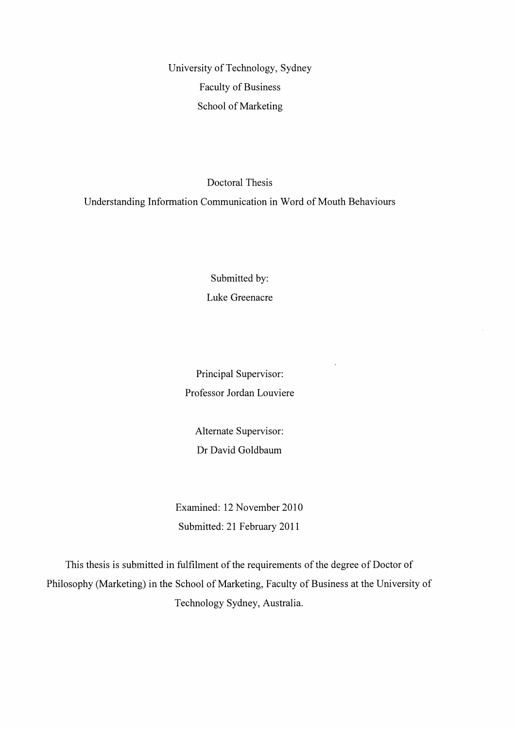University of Technology, Sydney Faculty of Business School of Marketing

Doctoral Thesis

Understanding Information Communication in Word of Mouth Behaviours

Submitted by: Luke Greenacre

Principal Supervisor: Professor Jordan Louviere  $\overline{a}$ 

Alternate Supervisor: Dr David Goldbaum

Examined: 12 November 2010 Submitted: 21 February 2011

This thesis is submitted in fulfilment of the requirements of the degree of Doctor of Philosophy (Marketing) in the School of Marketing, Faculty of Business at the University of Technology Sydney, Australia.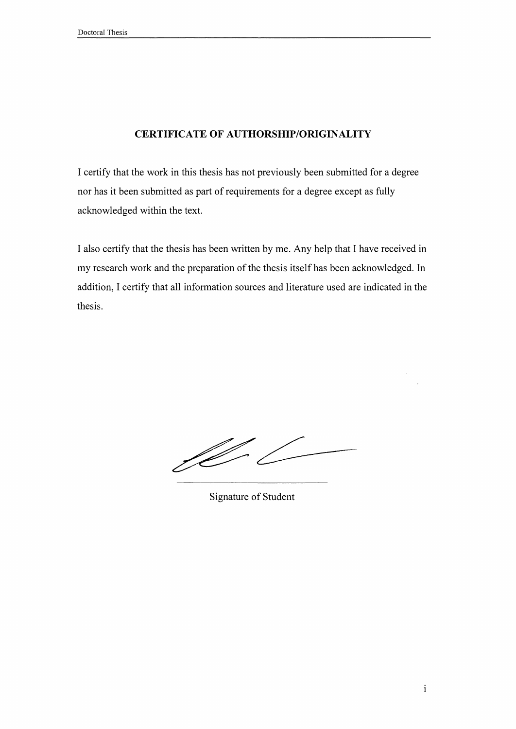## **CERTIFICATE OF AUTHORSHIP/ORIGINALITY**

I certify that the work in this thesis has not previously been submitted for a degree nor has it been submitted as part of requirements for a degree except as fully acknowledged within the text.

I also certify that the thesis has been written by me. Any help that I have received in my research work and the preparation of the thesis itself has been acknowledged. In addition, I certify that all information sources and literature used are indicated in the thesis.

VI.

Signature of Student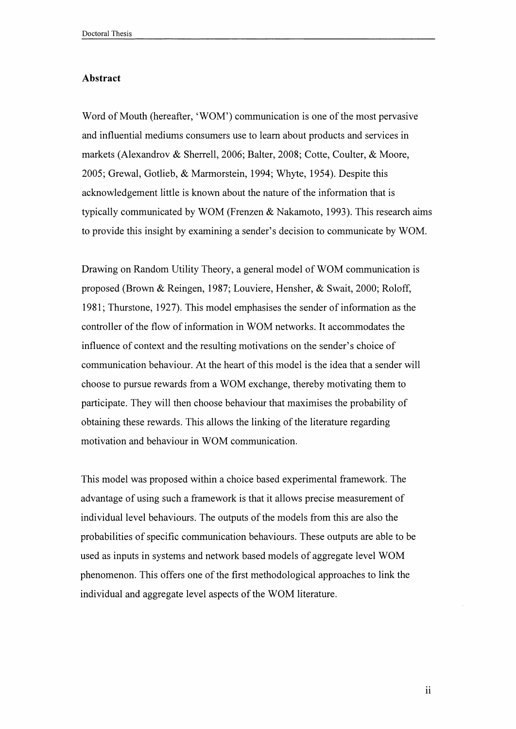## **Abstract**

Word of Mouth (hereafter, 'WOM') communication is one of the most pervasive and influential mediums consumers use to learn about products and services in markets (Alexandrov & Sherrell, 2006; Balter, 2008; Cotte, Coulter, & Moore, 2005; Grewal, Gotlieb, & Marmorstein, 1994; Whyte, 1954). Despite this acknowledgement little is known about the nature of the information that is typically communicated by WOM (Frenzen & Nakamoto, 1993). This research aims to provide this insight by examining a sender's decision to communicate by WOM.

Drawing on Random Utility Theory, a general model of WOM communication is proposed (Brown & Reingen, 1987; Louviere, Hensher, & Swait, 2000; Roloff, 1981; Thurstone, 1927). This model emphasises the sender of information as the controller of the flow of information in WOM networks. It accommodates the influence of context and the resulting motivations on the sender's choice of communication behaviour. At the heart of this model is the idea that a sender will choose to pursue rewards from a WOM exchange, thereby motivating them to participate. They will then choose behaviour that maximises the probability of obtaining these rewards. This allows the linking of the literature regarding motivation and behaviour in WOM communication.

This model was proposed within a choice based experimental framework. The advantage of using such a framework is that it allows precise measurement of individual level behaviours. The outputs of the models from this are also the probabilities of specific communication behaviours. These outputs are able to be used as inputs in systems and network based models of aggregate level WOM phenomenon. This offers one of the first methodological approaches to link the individual and aggregate level aspects of the WOM literature.

ii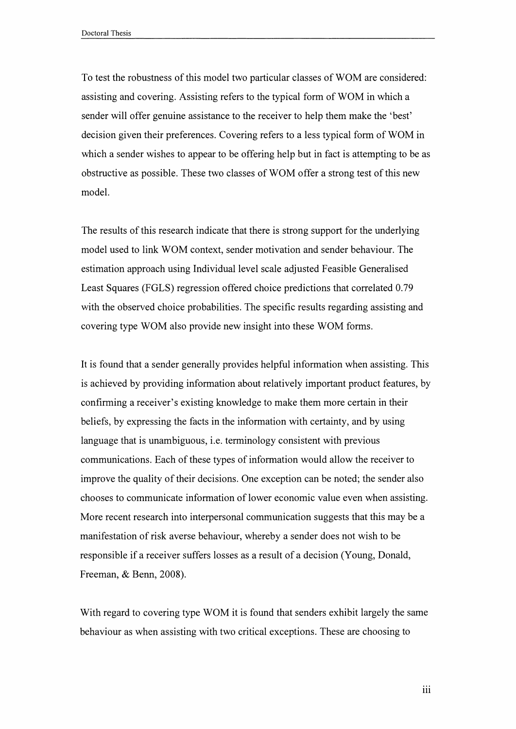To test the robustness of this model two particular classes of WOM are considered: assisting and covering. Assisting refers to the typical form of WOM in which a sender will offer genuine assistance to the receiver to help them make the 'best' decision given their preferences. Covering refers to a less typical form of WOM in which a sender wishes to appear to be offering help but in fact is attempting to be as obstructive as possible. These two classes of WOM offer a strong test of this new model.

The results of this research indicate that there is strong support for the underlying model used to link WOM context, sender motivation and sender behaviour. The estimation approach using Individual level scale adjusted Feasible Generalised Least Squares (FGLS) regression offered choice predictions that correlated 0.79 with the observed choice probabilities. The specific results regarding assisting and covering type WOM also provide new insight into these WOM forms.

It is found that a sender generally provides helpful information when assisting. This is achieved by providing information about relatively important product features, by confirming a receiver's existing knowledge to make them more certain in their beliefs, by expressing the facts in the information with certainty, and by using language that is unambiguous, i.e. terminology consistent with previous communications. Each of these types of information would allow the receiver to improve the quality of their decisions. One exception can be noted; the sender also chooses to communicate information of lower economic value even when assisting. More recent research into interpersonal communication suggests that this may be a manifestation of risk averse behaviour, whereby a sender does not wish to be responsible if a receiver suffers losses as a result of a decision (Young, Donald, Freeman, & Benn, 2008).

With regard to covering type WOM it is found that senders exhibit largely the same behaviour as when assisting with two critical exceptions. These are choosing to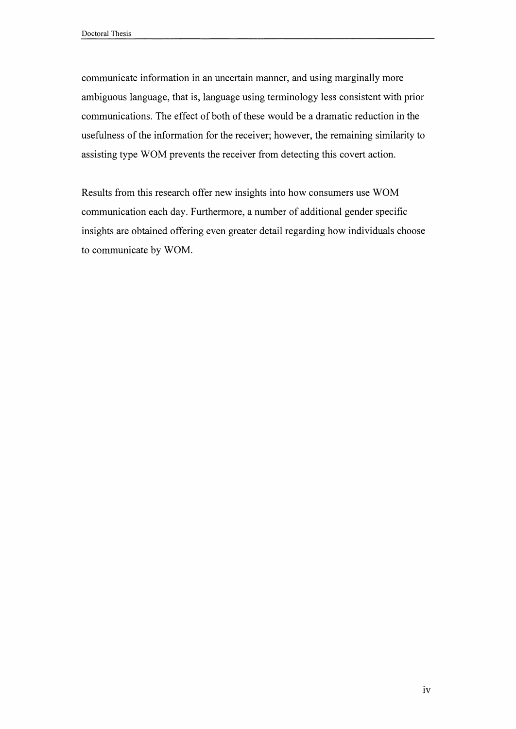communicate information in an uncertain manner, and using marginally more ambiguous language, that is, language using terminology less consistent with prior communications. The effect of both of these would be a dramatic reduction in the usefulness of the information for the receiver; however, the remaining similarity to assisting type WOM prevents the receiver from detecting this covert action.

Results from this research offer new insights into how consumers use WOM communication each day. Furthermore, a number of additional gender specific insights are obtained offering even greater detail regarding how individuals choose to communicate by WOM.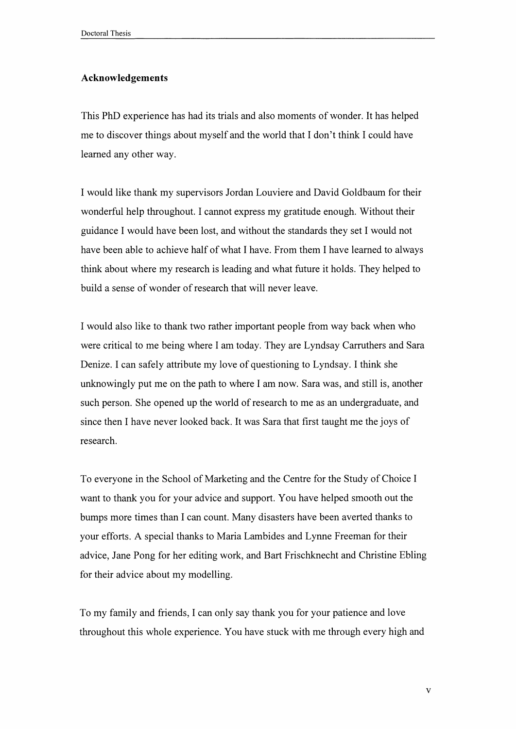## **Acknowledgements**

This PhD experience has had its trials and also moments ofwonder. It has helped me to discover things about myself and the world that I don't think I could have learned any other way.

I would like thank my supervisors Jordan Louviere and David Goldbaum for their wonderful help throughout. I cannot express my gratitude enough. Without their guidance I would have been lost, and without the standards they set I would not have been able to achieve half of what I have. From them I have learned to always think about where my research is leading and what future it holds. They helped to build a sense of wonder of research that will never leave.

I would also like to thank two rather important people from way back when who were critical to me being where I am today. They are Lyndsay Carruthers and Sara Denize. <sup>I</sup> can safely attribute my love of questioning to Lyndsay. I think she unknowingly put me on the path to where I am now. Sara was, and still is, another such person. She opened up the world of research to me as an undergraduate, and since then I have never looked back. It was Sara that first taught me the joys of research.

To everyone in the School of Marketing and the Centre for the Study of Choice I want to thank you for your advice and support. You have helped smooth out the bumps more times than I can count. Many disasters have been averted thanks to your efforts. A special thanks to Maria Lambides and Lynne Freeman for their advice, Jane Pong for her editing work, and Bart Frischknecht and Christine Ebling for their advice about my modelling.

To my family and friends, I can only say thank you for your patience and love throughout this whole experience. You have stuck with me through every high and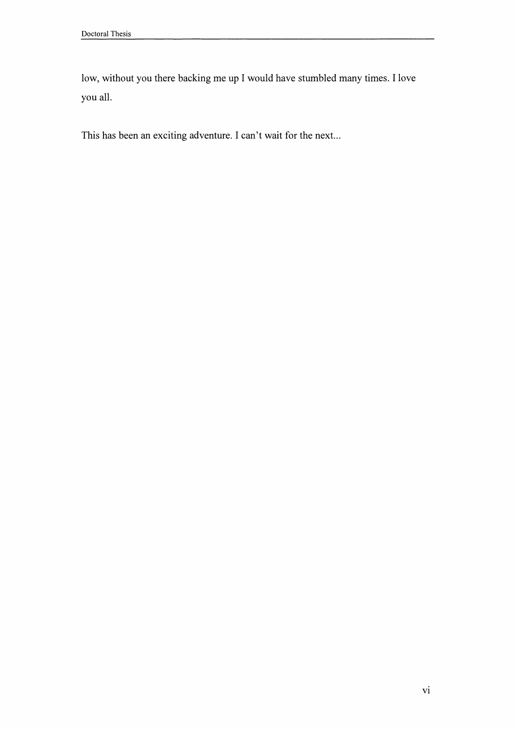low, without you there backing me up I would have stumbled many times. I love you all.

This has been an exciting adventure. I can't wait for the next...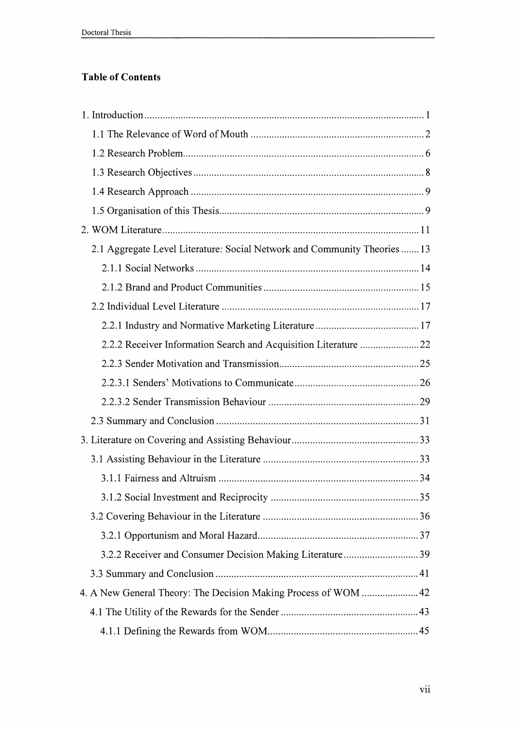## **Table of Contents**

| 2.1 Aggregate Level Literature: Social Network and Community Theories  13 |  |
|---------------------------------------------------------------------------|--|
|                                                                           |  |
|                                                                           |  |
|                                                                           |  |
|                                                                           |  |
| 2.2.2 Receiver Information Search and Acquisition Literature  22          |  |
|                                                                           |  |
|                                                                           |  |
|                                                                           |  |
|                                                                           |  |
|                                                                           |  |
|                                                                           |  |
|                                                                           |  |
|                                                                           |  |
|                                                                           |  |
|                                                                           |  |
|                                                                           |  |
| 3.2.2 Receiver and Consumer Decision Making Literature39                  |  |
|                                                                           |  |
| 4. A New General Theory: The Decision Making Process of WOM  42           |  |
|                                                                           |  |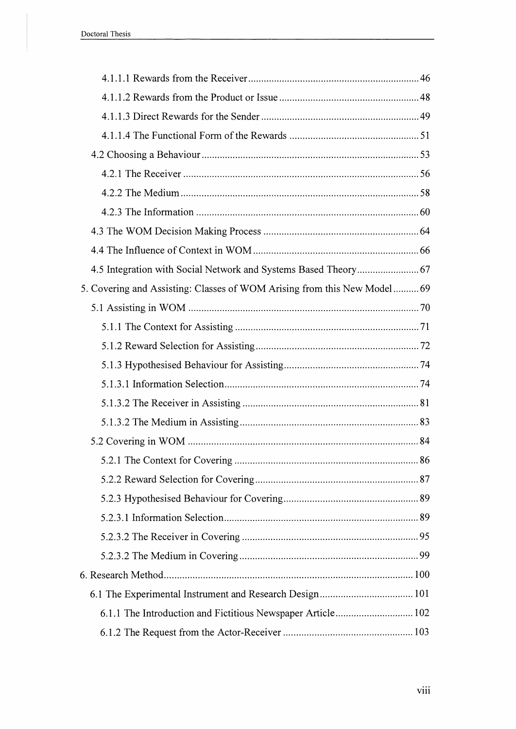| 4.5 Integration with Social Network and Systems Based Theory 67          |  |
|--------------------------------------------------------------------------|--|
| 5. Covering and Assisting: Classes of WOM Arising from this New Model 69 |  |
|                                                                          |  |
|                                                                          |  |
|                                                                          |  |
|                                                                          |  |
|                                                                          |  |
|                                                                          |  |
|                                                                          |  |
|                                                                          |  |
|                                                                          |  |
|                                                                          |  |
|                                                                          |  |
|                                                                          |  |
|                                                                          |  |
|                                                                          |  |
|                                                                          |  |
|                                                                          |  |
|                                                                          |  |
|                                                                          |  |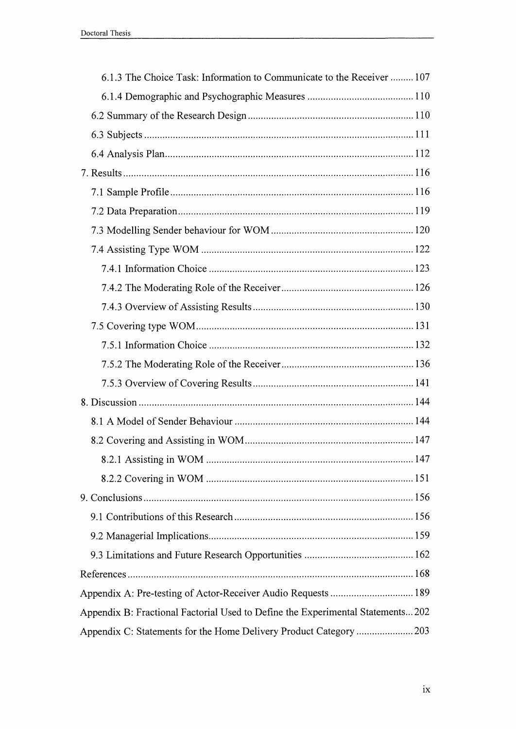| 6.1.3 The Choice Task: Information to Communicate to the Receiver  107         |
|--------------------------------------------------------------------------------|
|                                                                                |
|                                                                                |
|                                                                                |
|                                                                                |
|                                                                                |
|                                                                                |
|                                                                                |
|                                                                                |
|                                                                                |
|                                                                                |
|                                                                                |
|                                                                                |
|                                                                                |
|                                                                                |
|                                                                                |
|                                                                                |
|                                                                                |
|                                                                                |
|                                                                                |
|                                                                                |
|                                                                                |
|                                                                                |
|                                                                                |
|                                                                                |
|                                                                                |
|                                                                                |
|                                                                                |
| Appendix B: Fractional Factorial Used to Define the Experimental Statements202 |
| Appendix C: Statements for the Home Delivery Product Category 203              |